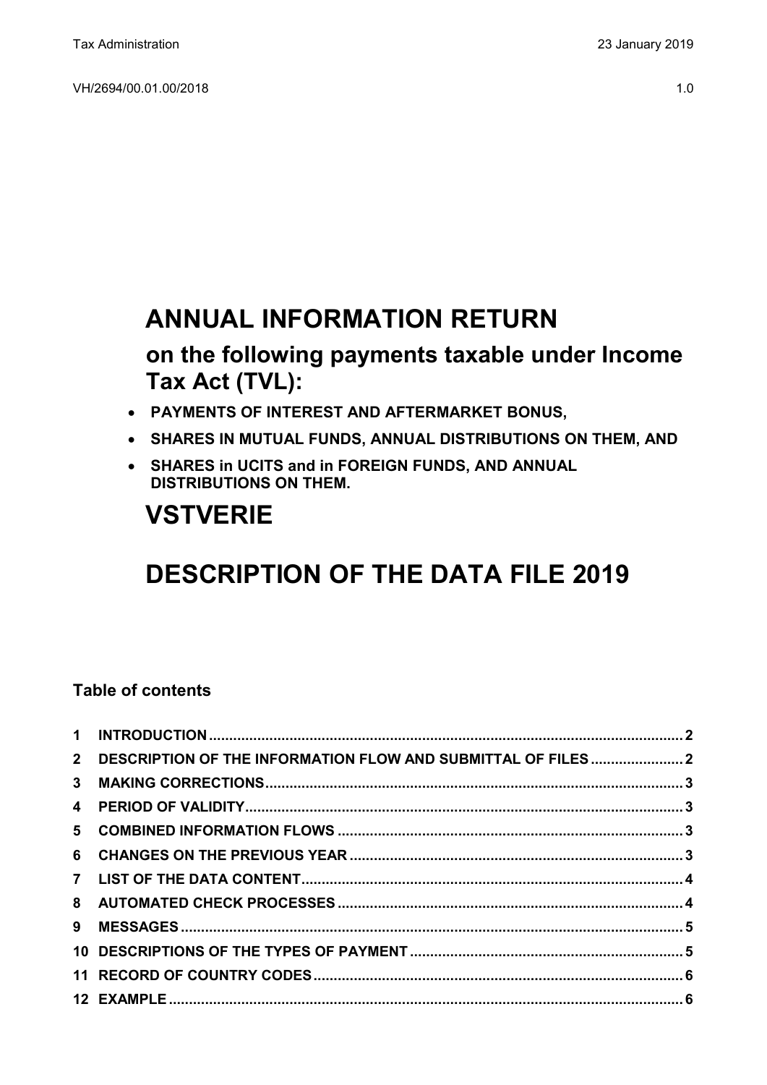# **ANNUAL INFORMATION RETURN**

# **on the following payments taxable under Income Tax Act (TVL):**

- **PAYMENTS OF INTEREST AND AFTERMARKET BONUS,**
- **SHARES IN MUTUAL FUNDS, ANNUAL DISTRIBUTIONS ON THEM, AND**
- **SHARES in UCITS and in FOREIGN FUNDS, AND ANNUAL DISTRIBUTIONS ON THEM.**

# **VSTVERIE**

# **DESCRIPTION OF THE DATA FILE 2019**

# **Table of contents**

| 2 DESCRIPTION OF THE INFORMATION FLOW AND SUBMITTAL OF FILES2 |  |
|---------------------------------------------------------------|--|
|                                                               |  |
|                                                               |  |
|                                                               |  |
|                                                               |  |
|                                                               |  |
|                                                               |  |
|                                                               |  |
|                                                               |  |
|                                                               |  |
|                                                               |  |
|                                                               |  |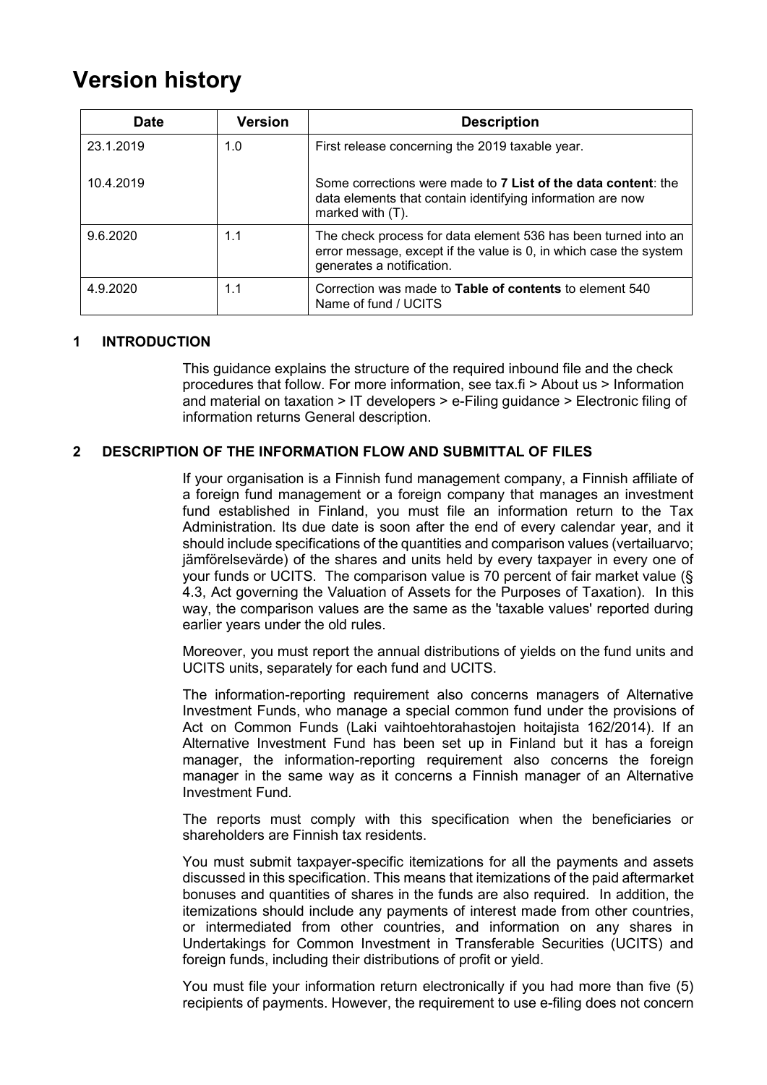# **Version history**

| <b>Date</b> | <b>Version</b> | <b>Description</b>                                                                                                                                               |
|-------------|----------------|------------------------------------------------------------------------------------------------------------------------------------------------------------------|
| 23.1.2019   | 1.0            | First release concerning the 2019 taxable year.                                                                                                                  |
| 10.4.2019   |                | Some corrections were made to 7 List of the data content: the<br>data elements that contain identifying information are now<br>marked with $(T)$ .               |
| 9.6.2020    | 1.1            | The check process for data element 536 has been turned into an<br>error message, except if the value is 0, in which case the system<br>generates a notification. |
| 4.9.2020    | 1.1            | Correction was made to <b>Table of contents</b> to element 540<br>Name of fund / UCITS                                                                           |

# <span id="page-1-0"></span>**1 INTRODUCTION**

This guidance explains the structure of the required inbound file and the check procedures that follow. For more information, see tax.fi > About us > Information and material on taxation > IT developers > e-Filing guidance > Electronic filing of information returns General description.

# <span id="page-1-1"></span>**2 DESCRIPTION OF THE INFORMATION FLOW AND SUBMITTAL OF FILES**

If your organisation is a Finnish fund management company, a Finnish affiliate of a foreign fund management or a foreign company that manages an investment fund established in Finland, you must file an information return to the Tax Administration. Its due date is soon after the end of every calendar year, and it should include specifications of the quantities and comparison values (vertailuarvo; jämförelsevärde) of the shares and units held by every taxpayer in every one of your funds or UCITS. The comparison value is 70 percent of fair market value (§ 4.3, Act governing the Valuation of Assets for the Purposes of Taxation). In this way, the comparison values are the same as the 'taxable values' reported during earlier years under the old rules.

Moreover, you must report the annual distributions of yields on the fund units and UCITS units, separately for each fund and UCITS.

The information-reporting requirement also concerns managers of Alternative Investment Funds, who manage a special common fund under the provisions of Act on Common Funds (Laki vaihtoehtorahastojen hoitajista 162/2014). If an Alternative Investment Fund has been set up in Finland but it has a foreign manager, the information-reporting requirement also concerns the foreign manager in the same way as it concerns a Finnish manager of an Alternative Investment Fund.

The reports must comply with this specification when the beneficiaries or shareholders are Finnish tax residents.

You must submit taxpayer-specific itemizations for all the payments and assets discussed in this specification. This means that itemizations of the paid aftermarket bonuses and quantities of shares in the funds are also required. In addition, the itemizations should include any payments of interest made from other countries, or intermediated from other countries, and information on any shares in Undertakings for Common Investment in Transferable Securities (UCITS) and foreign funds, including their distributions of profit or yield.

You must file your information return electronically if you had more than five (5) recipients of payments. However, the requirement to use e-filing does not concern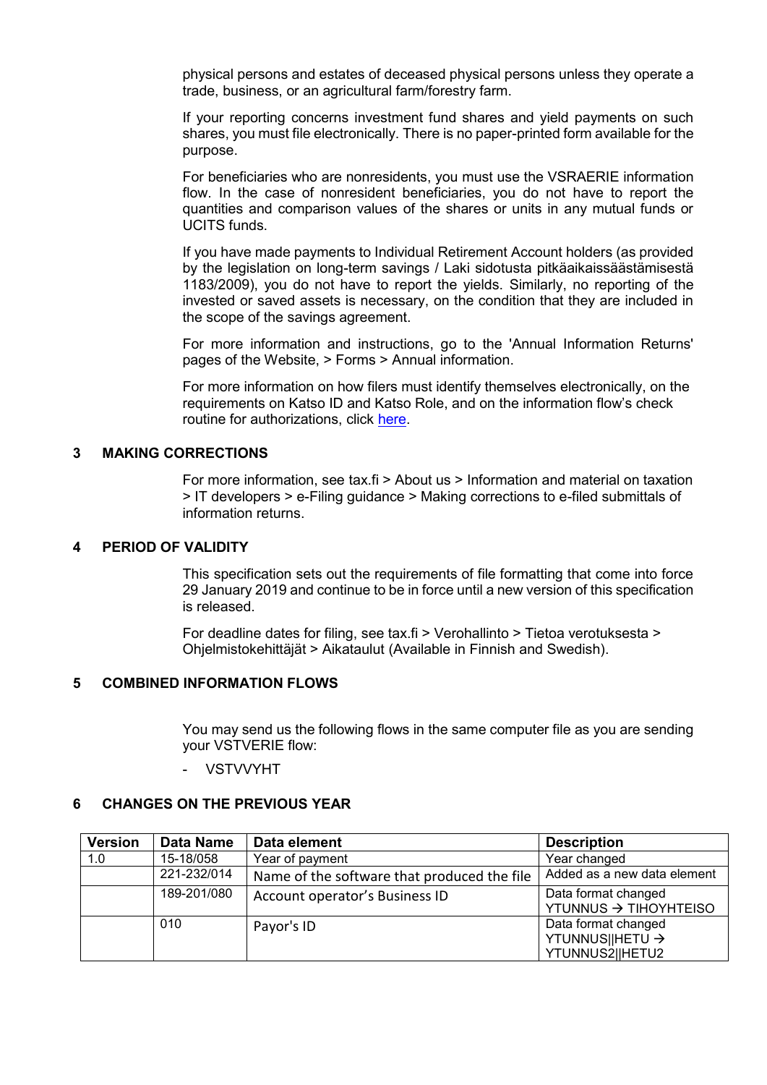physical persons and estates of deceased physical persons unless they operate a trade, business, or an agricultural farm/forestry farm.

If your reporting concerns investment fund shares and yield payments on such shares, you must file electronically. There is no paper-printed form available for the purpose.

For beneficiaries who are nonresidents, you must use the VSRAERIE information flow. In the case of nonresident beneficiaries, you do not have to report the quantities and comparison values of the shares or units in any mutual funds or UCITS funds.

If you have made payments to Individual Retirement Account holders (as provided by the legislation on long-term savings / Laki sidotusta pitkäaikaissäästämisestä 1183/2009), you do not have to report the yields. Similarly, no reporting of the invested or saved assets is necessary, on the condition that they are included in the scope of the savings agreement.

For more information and instructions, go to the 'Annual Information Returns' pages of the Website, > Forms > Annual information.

For more information on how filers must identify themselves electronically, on the requirements on Katso ID and Katso Role, and on the information flow's check routine for authorizations, click [here.](https://www.ilmoitin.fi/webtamo/sivut/IlmoituslajiRoolit?kieli=en&tv=VSTVERIE)

## <span id="page-2-0"></span>**3 MAKING CORRECTIONS**

For more information, see tax.fi > About us > Information and material on taxation > IT developers > e-Filing guidance > Making corrections to e-filed submittals of information returns.

#### <span id="page-2-1"></span>**4 PERIOD OF VALIDITY**

This specification sets out the requirements of file formatting that come into force 29 January 2019 and continue to be in force until a new version of this specification is released.

For deadline dates for filing, see tax.fi > Verohallinto > Tietoa verotuksesta > Ohjelmistokehittäjät > Aikataulut (Available in Finnish and Swedish).

## <span id="page-2-2"></span>**5 COMBINED INFORMATION FLOWS**

You may send us the following flows in the same computer file as you are sending your VSTVERIE flow:

- VSTVVYHT

# <span id="page-2-3"></span>**6 CHANGES ON THE PREVIOUS YEAR**

| <b>Version</b> | Data Name   | Data element                                | <b>Description</b>                                        |
|----------------|-------------|---------------------------------------------|-----------------------------------------------------------|
| 1.0            | 15-18/058   | Year of payment                             | Year changed                                              |
|                | 221-232/014 | Name of the software that produced the file | Added as a new data element                               |
|                | 189-201/080 | Account operator's Business ID              | Data format changed<br>YTUNNUS → TIHOYHTEISO              |
|                | 010         | Payor's ID                                  | Data format changed<br>YTUNNUS  HETU →<br>YTUNNUS2  HETU2 |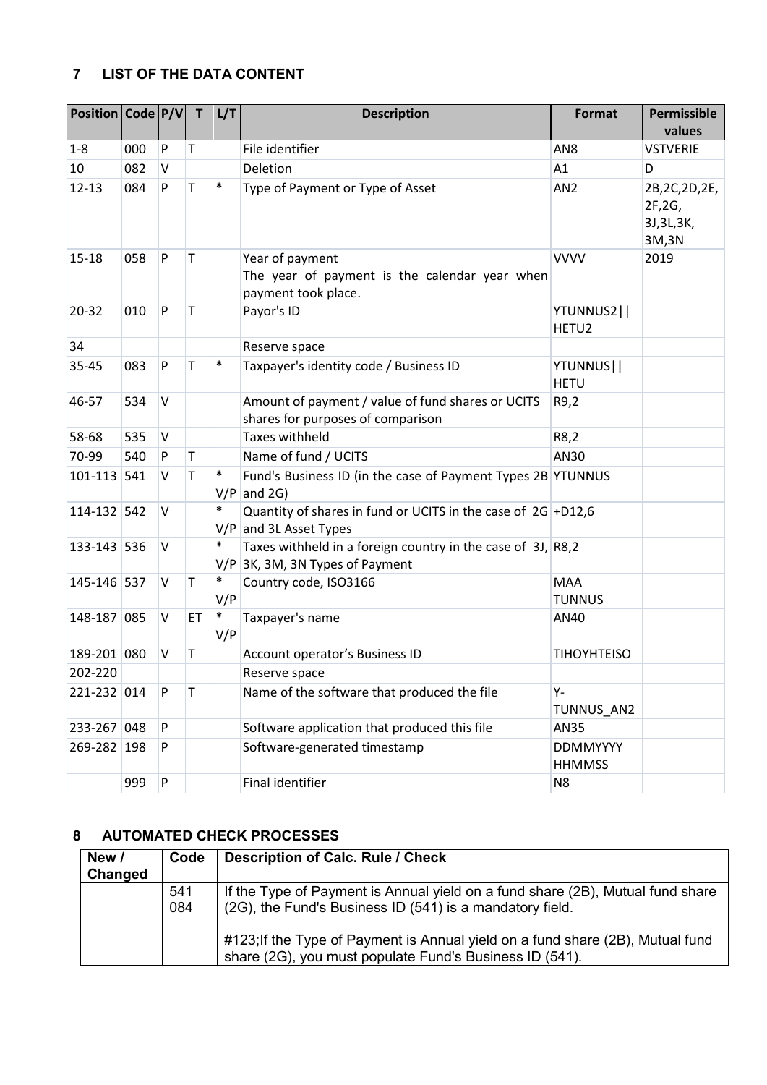# <span id="page-3-0"></span>**7 LIST OF THE DATA CONTENT**

| Position Code P/V |     |              | T  | L/T           | <b>Description</b>                                                                               | <b>Format</b>                    | Permissible<br>values                               |
|-------------------|-----|--------------|----|---------------|--------------------------------------------------------------------------------------------------|----------------------------------|-----------------------------------------------------|
| $1-8$             | 000 | P            | Τ  |               | File identifier                                                                                  | AN <sub>8</sub>                  | <b>VSTVERIE</b>                                     |
| 10                | 082 | V            |    |               | Deletion                                                                                         | A1                               | D                                                   |
| $12 - 13$         | 084 | P            | T  | $\ast$        | Type of Payment or Type of Asset                                                                 | AN <sub>2</sub>                  | 2B, 2C, 2D, 2E,<br>2F, 2G,<br>3J, 3L, 3K,<br>3M, 3N |
| 15-18             | 058 | P            | T  |               | Year of payment<br>The year of payment is the calendar year when<br>payment took place.          | <b>VVVV</b>                      | 2019                                                |
| 20-32             | 010 | $\mathsf{P}$ | T  |               | Payor's ID                                                                                       | YTUNNUS2  <br>HETU2              |                                                     |
| 34                |     |              |    |               | Reserve space                                                                                    |                                  |                                                     |
| 35-45             | 083 | P            | T  | $\ast$        | Taxpayer's identity code / Business ID                                                           | YTUNNUS  <br><b>HETU</b>         |                                                     |
| 46-57             | 534 | V            |    |               | Amount of payment / value of fund shares or UCITS<br>shares for purposes of comparison           | R9,2                             |                                                     |
| 58-68             | 535 | <b>V</b>     |    |               | <b>Taxes withheld</b>                                                                            | R8,2                             |                                                     |
| 70-99             | 540 | P            | Τ  |               | Name of fund / UCITS                                                                             | AN30                             |                                                     |
| 101-113           | 541 | V            | Τ  |               | Fund's Business ID (in the case of Payment Types 2B YTUNNUS<br>$V/P$ and 2G)                     |                                  |                                                     |
| 114-132 542       |     | V            |    | $\ast$        | Quantity of shares in fund or UCITS in the case of $2G$ +D12,6<br>$V/P$ and 3L Asset Types       |                                  |                                                     |
| 133-143 536       |     | V            |    | $\ast$        | Taxes withheld in a foreign country in the case of 3J, R8,2<br>$V/P$ 3K, 3M, 3N Types of Payment |                                  |                                                     |
| 145-146 537       |     | <b>V</b>     | T  | $\ast$<br>V/P | Country code, ISO3166                                                                            | <b>MAA</b><br><b>TUNNUS</b>      |                                                     |
| 148-187 085       |     | V            | ET | $\ast$<br>V/P | Taxpayer's name                                                                                  | AN40                             |                                                     |
| 189-201 080       |     | V            | Τ  |               | Account operator's Business ID                                                                   | <b>TIHOYHTEISO</b>               |                                                     |
| 202-220           |     |              |    |               | Reserve space                                                                                    |                                  |                                                     |
| 221-232 014       |     | P            | Τ  |               | Name of the software that produced the file                                                      | Υ-<br>TUNNUS_AN2                 |                                                     |
| 233-267 048       |     | P            |    |               | Software application that produced this file                                                     | <b>AN35</b>                      |                                                     |
| 269-282 198       |     | P            |    |               | Software-generated timestamp                                                                     | <b>DDMMYYYY</b><br><b>HHMMSS</b> |                                                     |
|                   | 999 | P            |    |               | Final identifier                                                                                 | N <sub>8</sub>                   |                                                     |

# <span id="page-3-1"></span>**8 AUTOMATED CHECK PROCESSES**

| New /<br>Changed | Code       | <b>Description of Calc. Rule / Check</b>                                                                                                   |
|------------------|------------|--------------------------------------------------------------------------------------------------------------------------------------------|
|                  | 541<br>084 | If the Type of Payment is Annual yield on a fund share (2B), Mutual fund share<br>(2G), the Fund's Business ID (541) is a mandatory field. |
|                  |            | #123; If the Type of Payment is Annual yield on a fund share (2B), Mutual fund<br>share (2G), you must populate Fund's Business ID (541).  |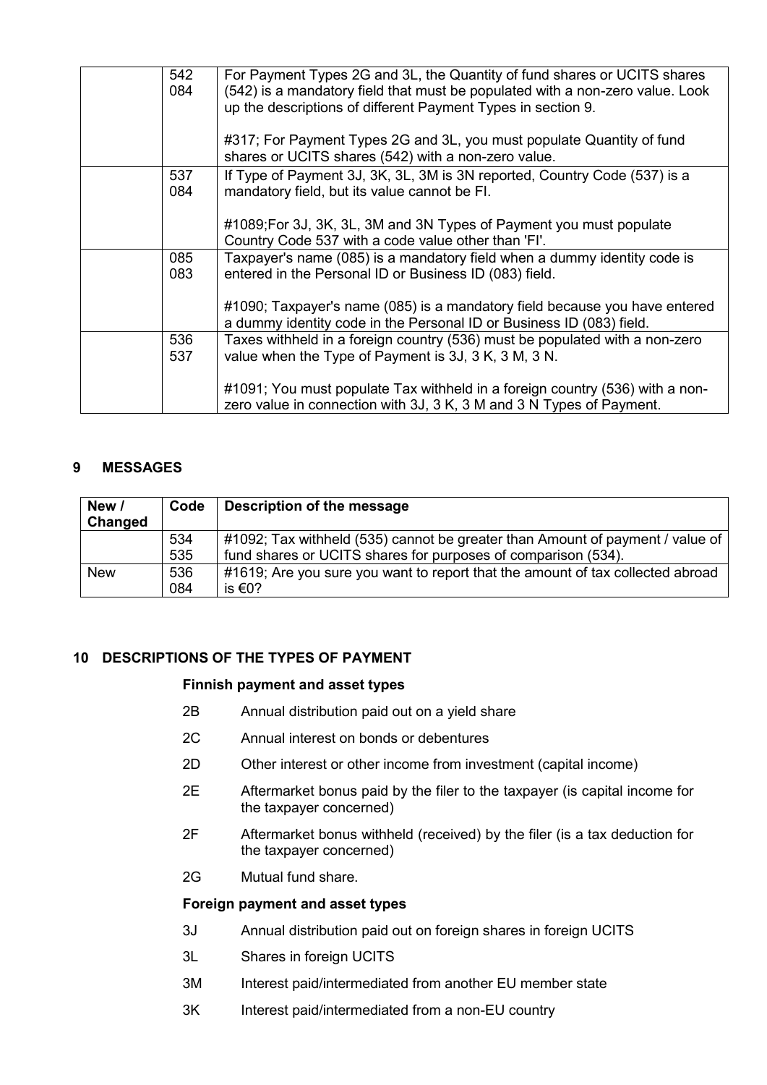| 542<br>084 | For Payment Types 2G and 3L, the Quantity of fund shares or UCITS shares<br>(542) is a mandatory field that must be populated with a non-zero value. Look<br>up the descriptions of different Payment Types in section 9.<br>#317; For Payment Types 2G and 3L, you must populate Quantity of fund |
|------------|----------------------------------------------------------------------------------------------------------------------------------------------------------------------------------------------------------------------------------------------------------------------------------------------------|
|            | shares or UCITS shares (542) with a non-zero value.                                                                                                                                                                                                                                                |
| 537<br>084 | If Type of Payment 3J, 3K, 3L, 3M is 3N reported, Country Code (537) is a<br>mandatory field, but its value cannot be FI.                                                                                                                                                                          |
|            | #1089; For 3J, 3K, 3L, 3M and 3N Types of Payment you must populate<br>Country Code 537 with a code value other than 'FI'.                                                                                                                                                                         |
| 085<br>083 | Taxpayer's name (085) is a mandatory field when a dummy identity code is<br>entered in the Personal ID or Business ID (083) field.                                                                                                                                                                 |
|            | #1090; Taxpayer's name (085) is a mandatory field because you have entered<br>a dummy identity code in the Personal ID or Business ID (083) field.                                                                                                                                                 |
| 536<br>537 | Taxes withheld in a foreign country (536) must be populated with a non-zero<br>value when the Type of Payment is 3J, 3 K, 3 M, 3 N.                                                                                                                                                                |
|            | #1091; You must populate Tax withheld in a foreign country (536) with a non-<br>zero value in connection with 3J, 3 K, 3 M and 3 N Types of Payment.                                                                                                                                               |

# <span id="page-4-0"></span>**9 MESSAGES**

| New /<br>Changed | Code | Description of the message                                                     |
|------------------|------|--------------------------------------------------------------------------------|
|                  | 534  | #1092; Tax withheld (535) cannot be greater than Amount of payment / value of  |
|                  | 535  | fund shares or UCITS shares for purposes of comparison (534).                  |
| <b>New</b>       | 536  | #1619; Are you sure you want to report that the amount of tax collected abroad |
|                  | 084  | is €0?                                                                         |

# <span id="page-4-1"></span>**10 DESCRIPTIONS OF THE TYPES OF PAYMENT**

# **Finnish payment and asset types**

- 2B Annual distribution paid out on a yield share
- 2C Annual interest on bonds or debentures
- 2D Other interest or other income from investment (capital income)
- 2E Aftermarket bonus paid by the filer to the taxpayer (is capital income for the taxpayer concerned)
- 2F Aftermarket bonus withheld (received) by the filer (is a tax deduction for the taxpayer concerned)
- 2G Mutual fund share.

#### **Foreign payment and asset types**

- 3J Annual distribution paid out on foreign shares in foreign UCITS
- 3L Shares in foreign UCITS
- 3M Interest paid/intermediated from another EU member state
- 3K Interest paid/intermediated from a non-EU country